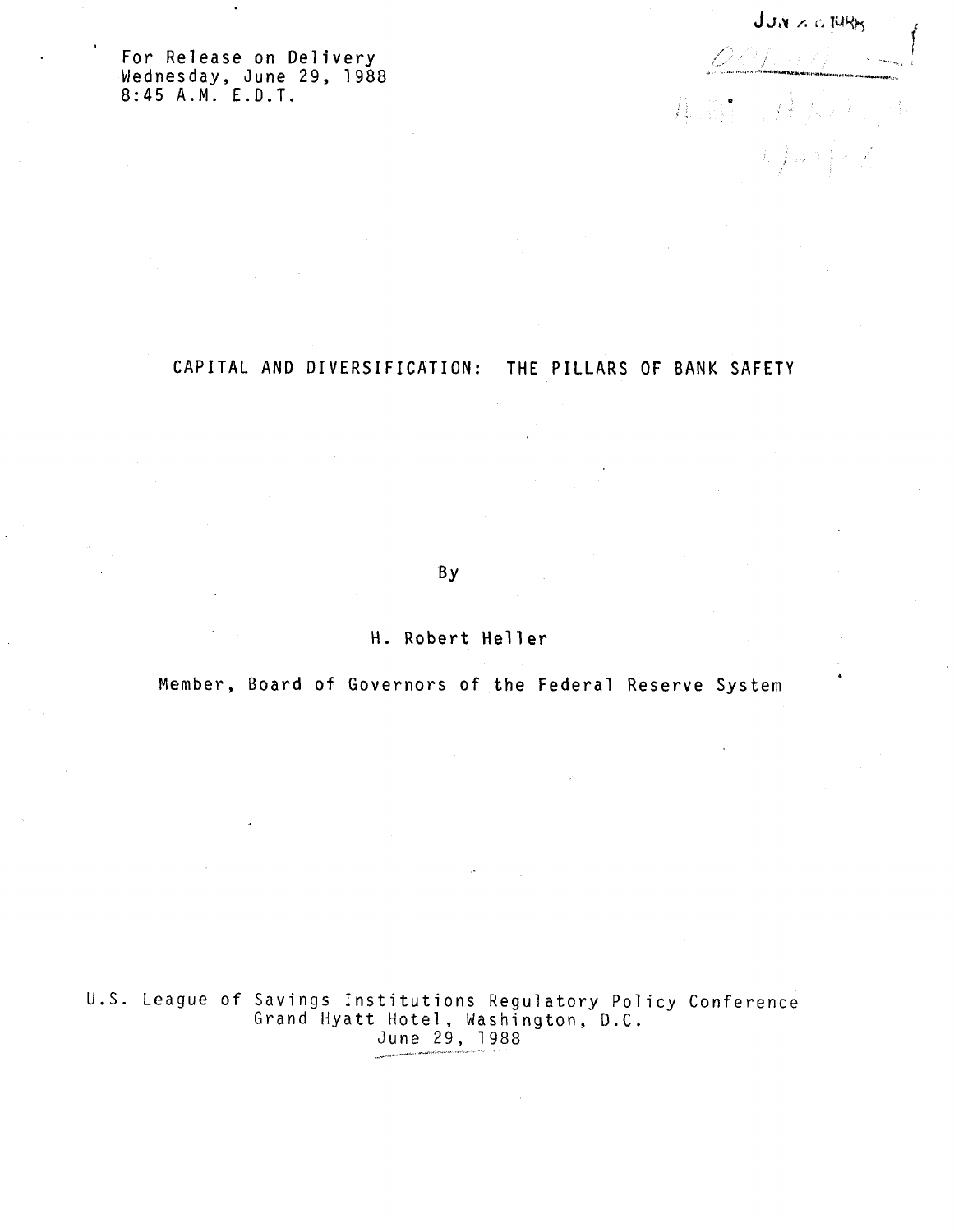**F o <sup>r</sup> Releas <sup>e</sup> on Deliver <sup>y</sup> Wednesday , Jun <sup>e</sup> 2 9 , <sup>198</sup> <sup>8</sup> 8:4 5 A.M . E.D.T .**

 $J_{J,N} \times c$ ,  $70\%$  $[OOL, d)]$ **A** Sil  $i, j$  is

# **CAPITA <sup>L</sup> A N <sup>D</sup> DIVERSIFICATION : T H <sup>E</sup> PILLAR <sup>S</sup> <sup>O</sup> <sup>F</sup> BAN <sup>K</sup> SAFET <sup>Y</sup>**

**By**

**H . Rober t Helle r**

**Member , Boar <sup>d</sup> <sup>o</sup> <sup>f</sup> Governor <sup>s</sup> <sup>o</sup> <sup>f</sup> t h <sup>e</sup> Federa <sup>l</sup> Reserv <sup>e</sup> Syste <sup>m</sup>**

U.S. League of Savings Institutions Regulatory Policy Conference Grand Hyatt Hotel, Washington, D.C. June 29, 1988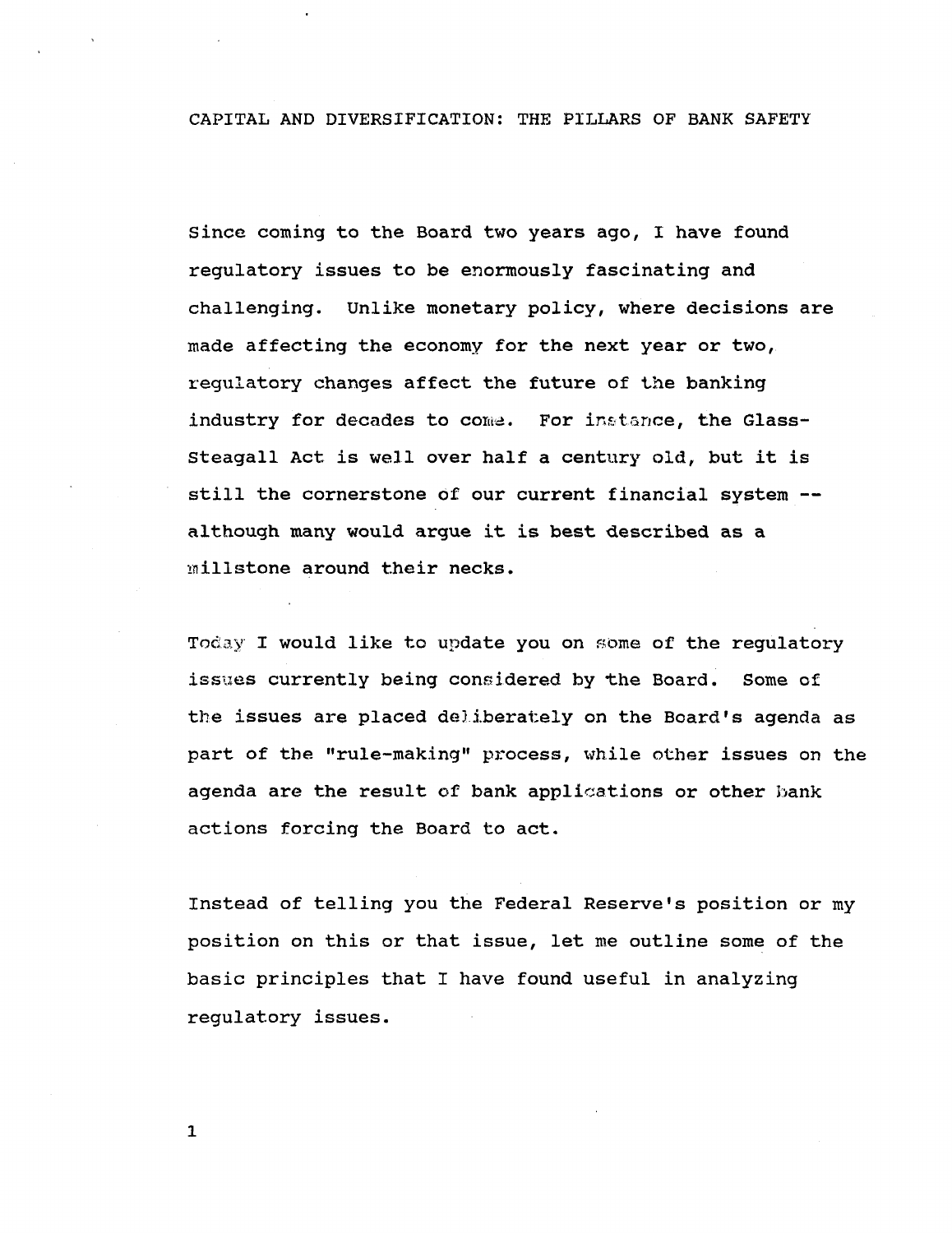**CAPITAL AND DIVERSIFICATION: THE PILLARS OF BANK SAFETY**

**Since coming to the Board two years ago, I have found regulatory issues to be enormously fascinating and challenging. Unlike monetary policy, where decisions are made affecting the economy for the next year or two, regulatory changes affect the future of the banking industry for decades to coma. For instance, the Glass-Steagall Act is well over half a century old, but it is still the cornerstone of our current financial system although many would argue it is best described as a millstone around their necks.**

**Today I would like to update you on some of the regulatory issues currently being considered by -the Board. Some of the issues are placed deliberately on the Board's agenda as part of the "rule-making" process, while other issues on the agenda are the result of bank applications or other bank actions forcing the Board to act.**

**Instead of telling you the Federal Reserve's position or my position on this or that issue, let me outline some of the basic principles that I have found useful in analyzing regulatory issues.**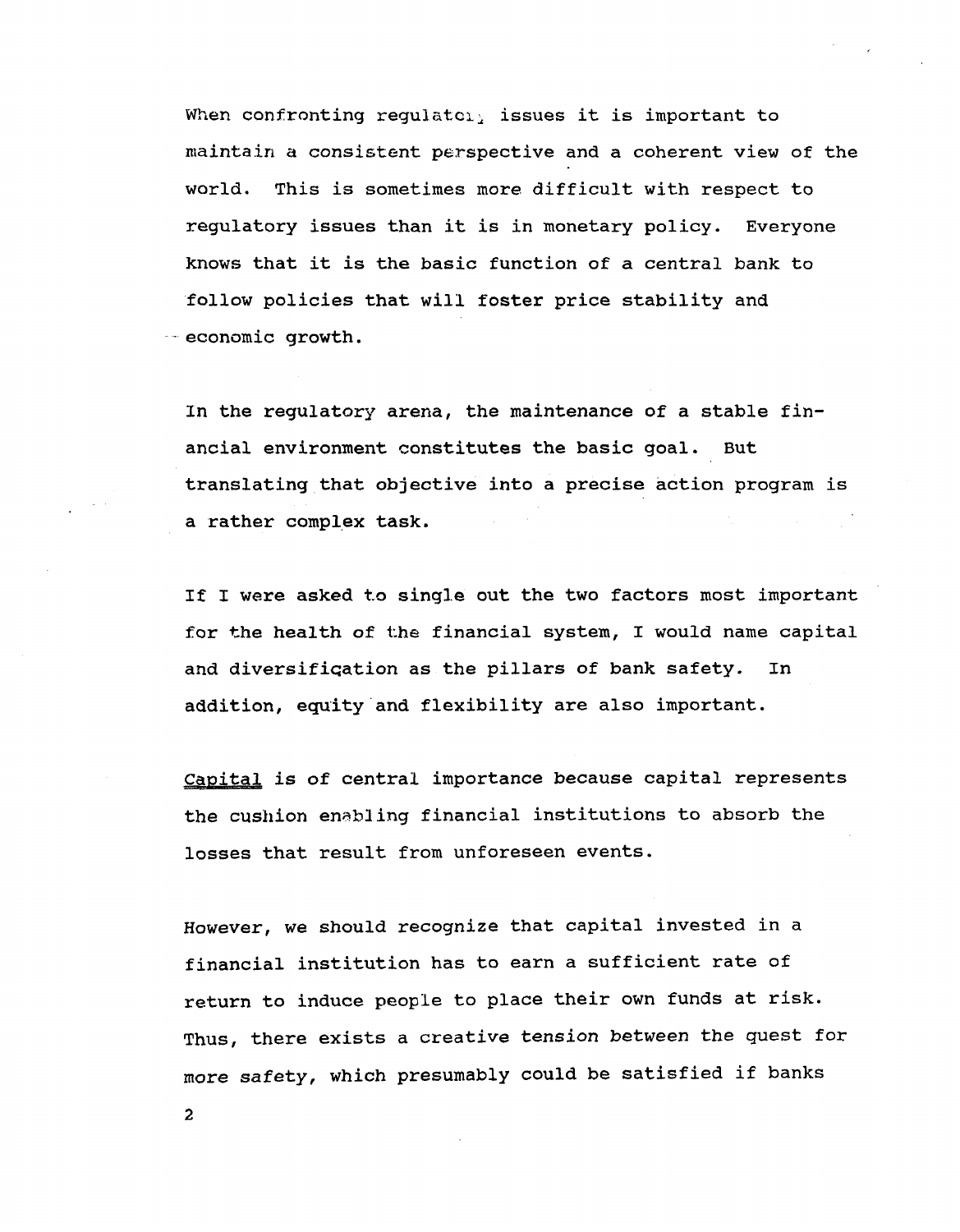**When confronting regulator issues it is important to maintain a consistent perspective and a coherent view of the world. This is sometimes more difficult with respect to regulatory issues than it is in monetary policy. Everyone knows that it is the basic function of a central bank to follow policies that will foster price stability and economic growth.**

**In the regulatory arena, the maintenance of a stable financial environment constitutes the basic goal. But translating that objective into a precise action program is a rather complex task.**

**If I were asked to single out the two factors most important for the health of the financial system, I would name capital and diversification as the pillars of bank safety. In addition, equity and flexibility are also important.**

**Capital is of central importance because capital represents the cushion enabling financial institutions to absorb the losses that result from unforeseen events.**

**However, we should recognize that capital invested in a financial institution has to earn a sufficient rate of return to induce people to place their own funds at risk. Thus, there exists a creative tension between the guest for more safety, which presumably could be satisfied if banks**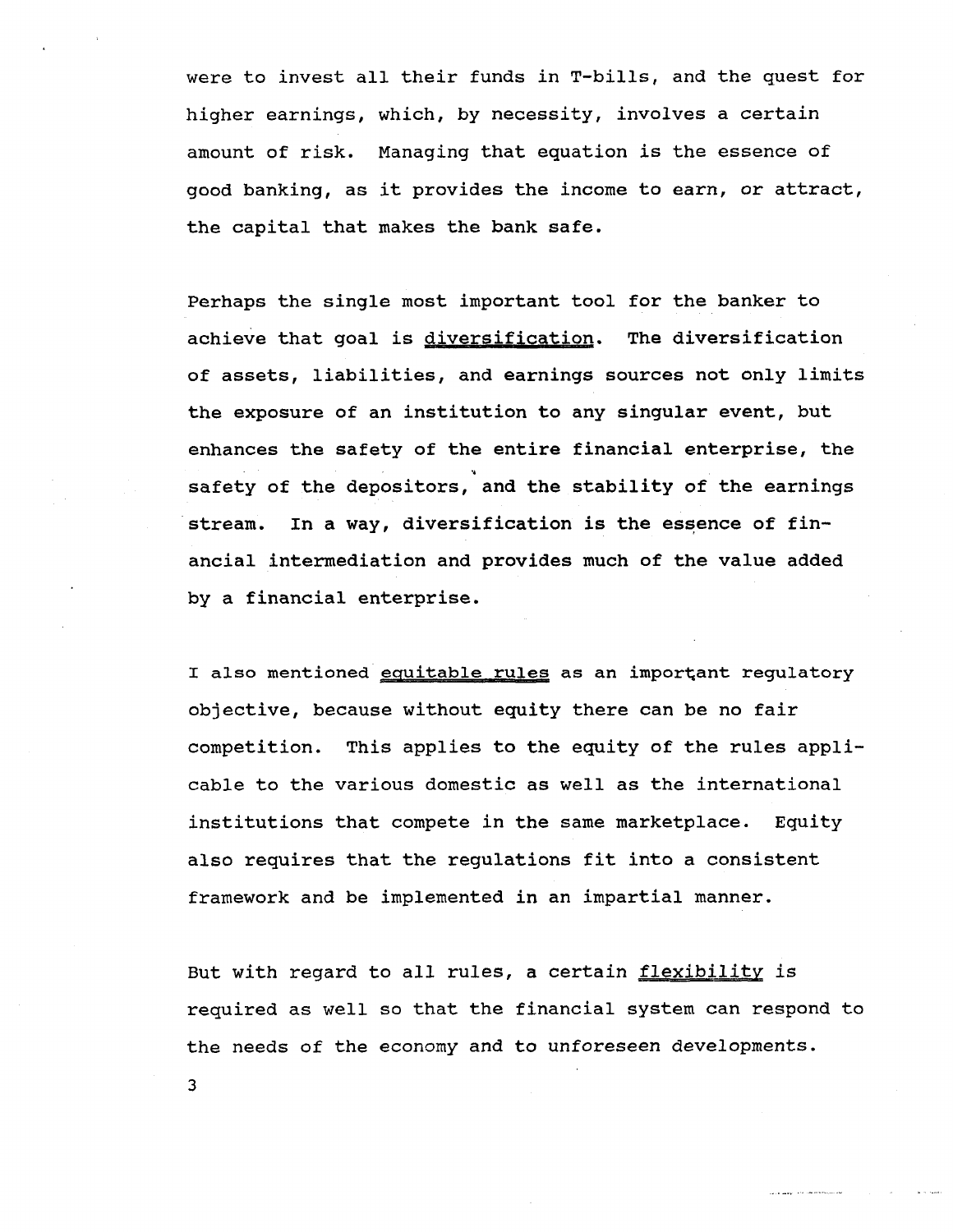**were to invest all their funds in T-bills, and the quest for higher earnings, which, by necessity, involves a certain amount of risk. Managing that equation is the essence of good banking, as it provides the income to earn, or attract, the capital that makes the bank safe.**

**Perhaps the single most important tool for the banker to achieve that goal is diversification. The diversification of assets, liabilities, and earnings sources not only limits the exposure of an institution to any singular event, but enhances the safety of the entire financial enterprise, the** *'\** **safety of the depositors, and the stability of the earnings stream. In a way, diversification is the essence of financial intermediation and provides much of the value added by a financial enterprise.**

**I** also mentioned **equitable** rules as an important regulatory **objective, because without equity there can be no fair competition. This applies to the equity of the rules applicable to the various domestic as well as the international institutions that compete in the same marketplace. Equity also requires that the regulations fit into a consistent framework and be implemented in an impartial manner.**

**But with regard to all rules, a certain flexibility is required as well so that the financial system can respond to the needs of the economy and to unforeseen developments.**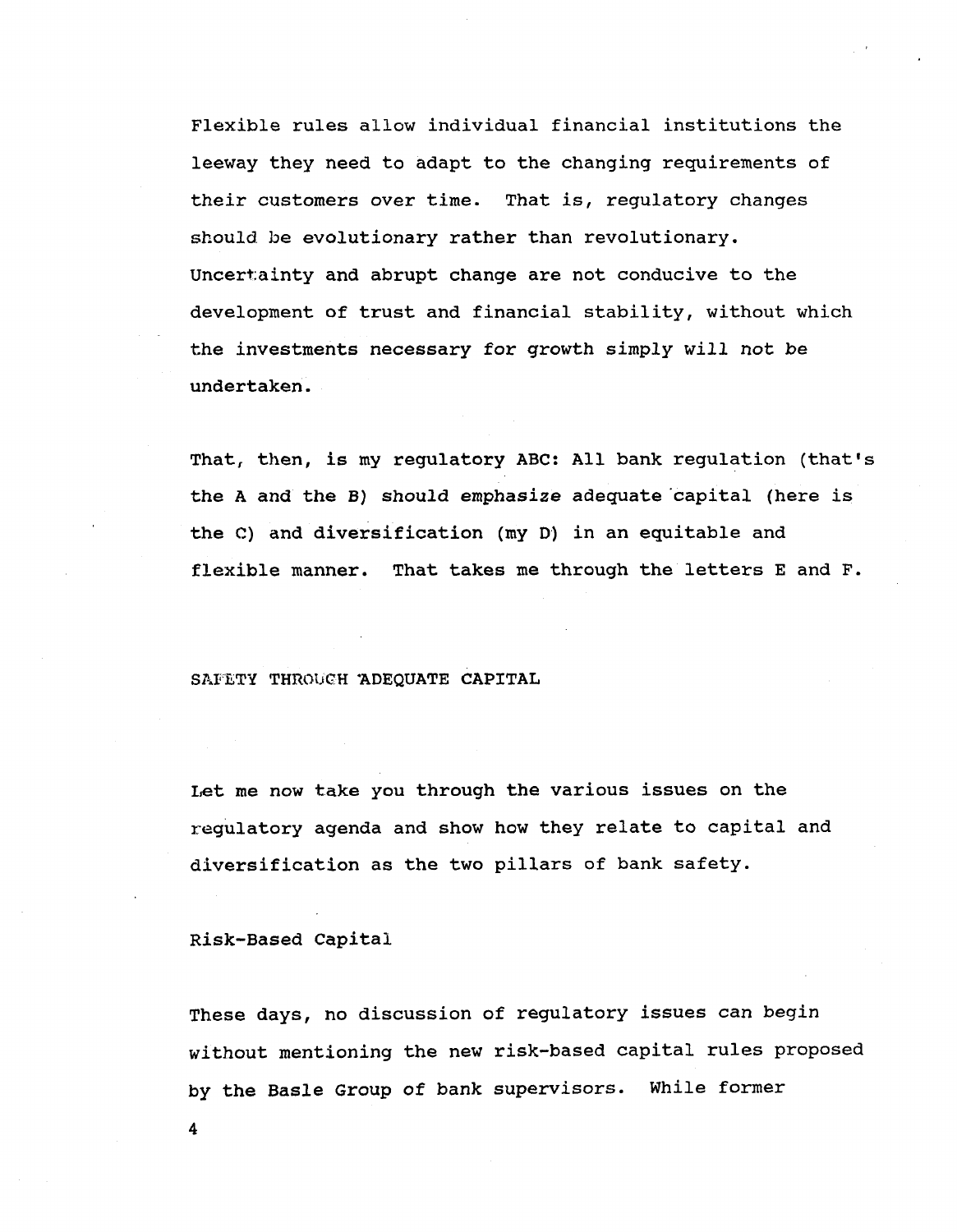**Flexible rules allow individual financial institutions the leeway they need to adapt to the changing requirements of their customers over time. That is, regulatory changes should be evolutionary rather than revolutionary. Uncertainty and abrupt change are not conducive to the development of trust and financial stability, without which the investments necessary for growth simply will not be undertaken.**

**That, then, is my regulatory ABC: All bank regulation (that's the A and the B) should emphasize adequate capital (here is the C) and diversification (my D) in an equitable and flexible manner. That takes me through the letters E and F.**

#### **SAFETY THROUGH "ADEQUATE CAPITAL**

**Let me now take you through the various issues on the regulatory agenda and show how they relate to capital and diversification as the two pillars of bank safety.**

**Risk-Based Capital**

**4**

**These days, no discussion of regulatory issues can begin without mentioning the new risk-based capital rules proposed by the Basle Group of bank supervisors. While former**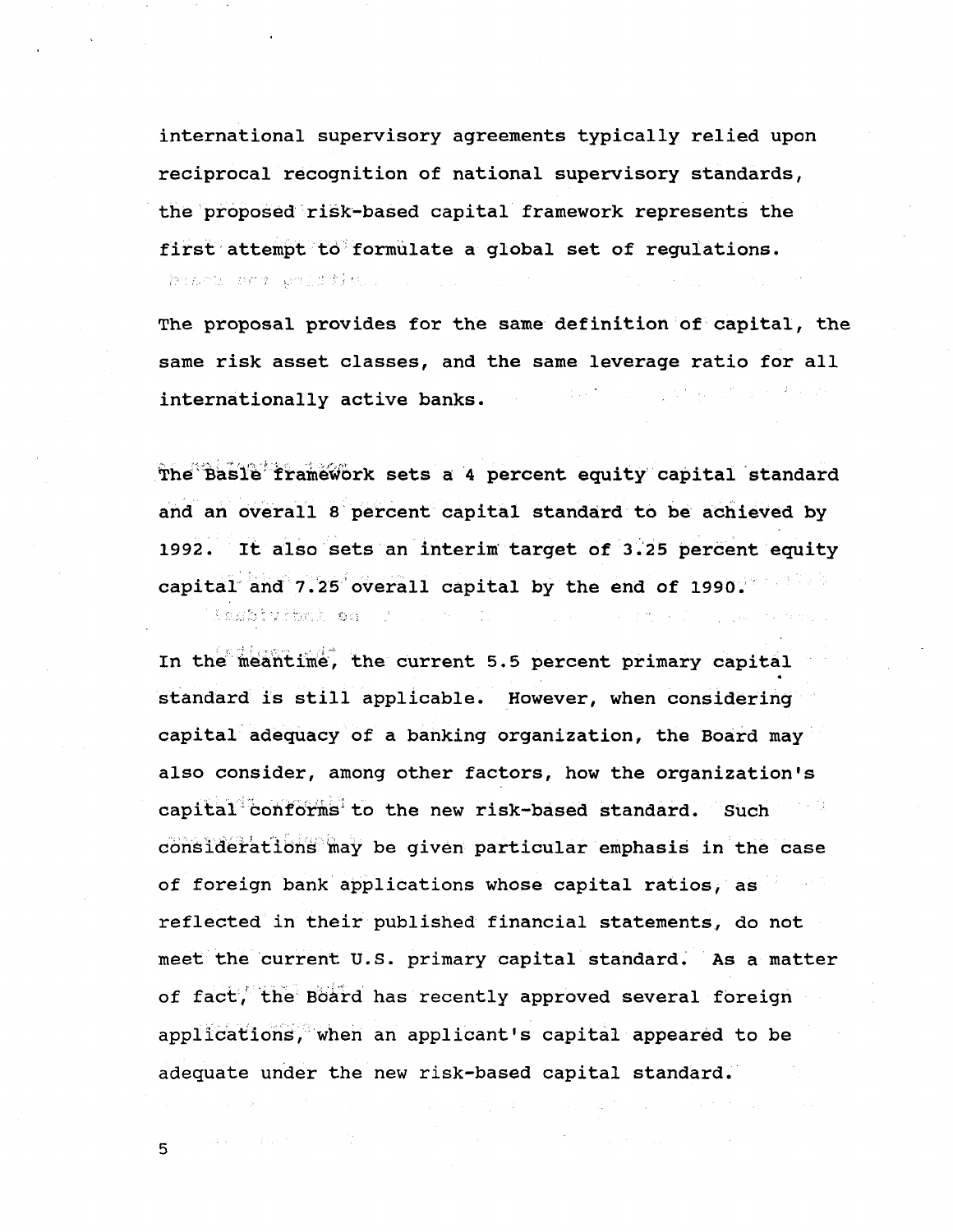**international supervisory agreements typically relied upon reciprocal recognition of national supervisory standards, the proposed risk-based capital framework represents the first attempt to formulate a global set of regulations.** hand may beliffe.

**The proposal provides for the same definition of capital, the same risk asset classes, and the same leverage ratio for all internationally active banks.**

**The Basle framework sets a 4 percent equity capital standard and an overall 8 percent capital standard to be achieved by 1992. It also sets an interim target of 3.25 percent equity capital and 7.25 overall capital by the end of 1990.** i nabivitxi sa J

**In the meantime, the current 5.5 percent primary capital** « **standard is still applicable. However, when considering capital adequacy of a banking organization, the Board may also consider, among other factors, how the organization's capital conforms to the new risk-based standard. Such considerations may be given particular emphasis in the case of foreign bank applications whose capital ratios, as reflected in their published financial statements, do not meet the current U.S. primary capital standard. As a matter of fact, the Board has recently approved several foreign applications, when an applicant's capital appeared to be adequate under the new risk-based capital standard.**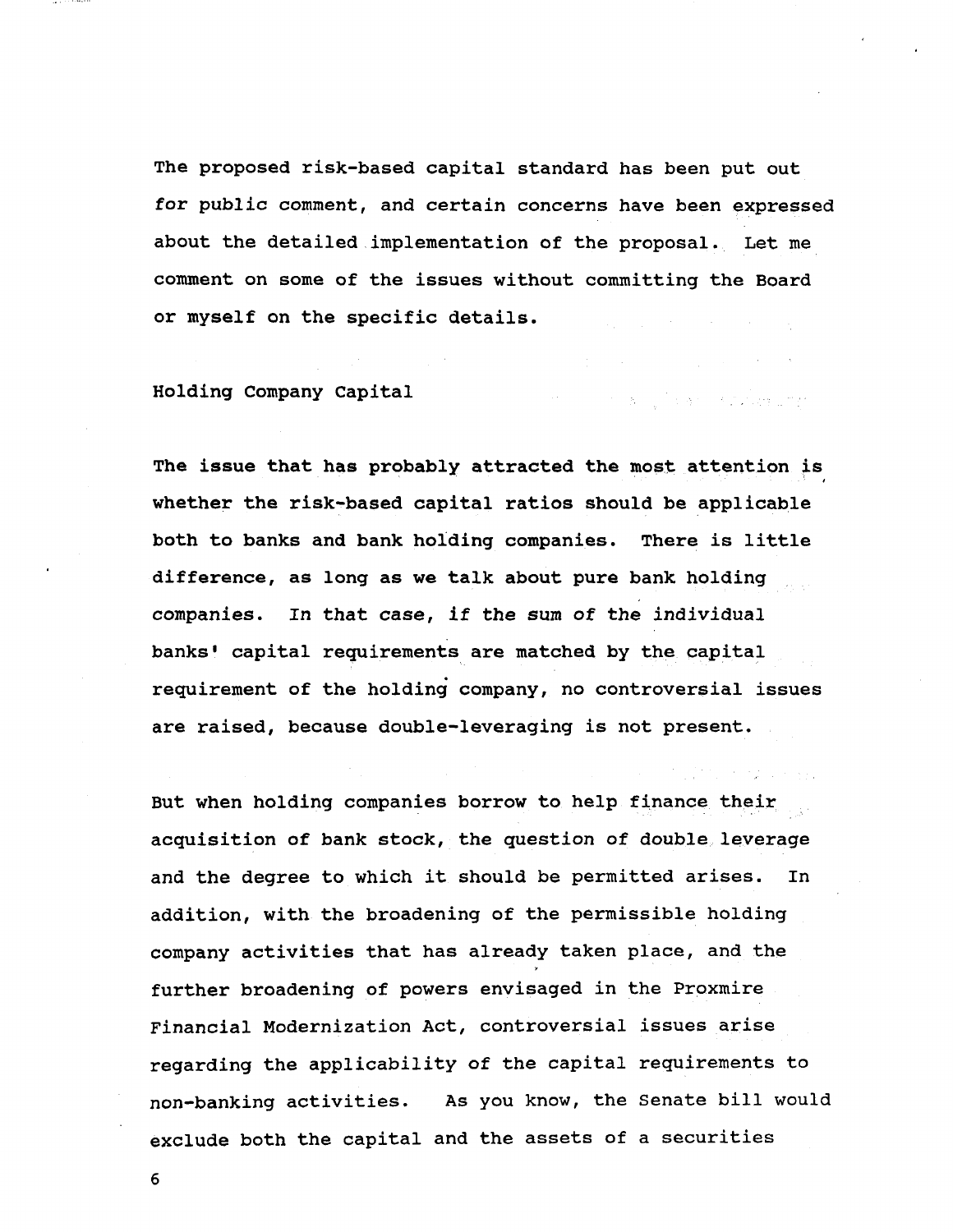**The proposed risk-based capital standard has been put out for public comment, and certain concerns have been expressed about the detailed implementation of the proposal. Let me comment on some of the issues without committing the Board or myself on the specific details.**

 $\label{eq:2.1} \mathcal{L}^{\mathcal{A}}(\mathcal{A})=\mathcal{L}^{\mathcal{A}}(\mathcal{A})=\mathcal{L}^{\mathcal{A}}(\mathcal{A})=\mathcal{L}^{\mathcal{A}}(\mathcal{A})=\mathcal{L}^{\mathcal{A}}(\mathcal{A})=\mathcal{L}^{\mathcal{A}}(\mathcal{A})=\mathcal{L}^{\mathcal{A}}(\mathcal{A})$ 

and the company of the state of the company of

**Holding Company Capital**

**The issue that has probably attracted the most attention is** i **whether the risk-based capital ratios should be applicable both to banks and bank holding companies. There is little difference, as long as we talk about pure bank holding companies. In that case, if the sum of the individual banks' capital requirements are matched by the capital requirement of the holding company, no controversial issues are raised, because double-leveraging is not present.**

**But when holding companies borrow to help finance their acquisition of bank stock, the question of double leverage and the degree to which it should be permitted arises. In addition, with the broadening of the permissible holding company activities that has already taken place, and the further broadening of powers envisaged in the Proxmire Financial Modernization Act, controversial issues arise regarding the applicability of the capital requirements to non-banking activities. As you know, the Senate bill would exclude both the capital and the assets of a securities**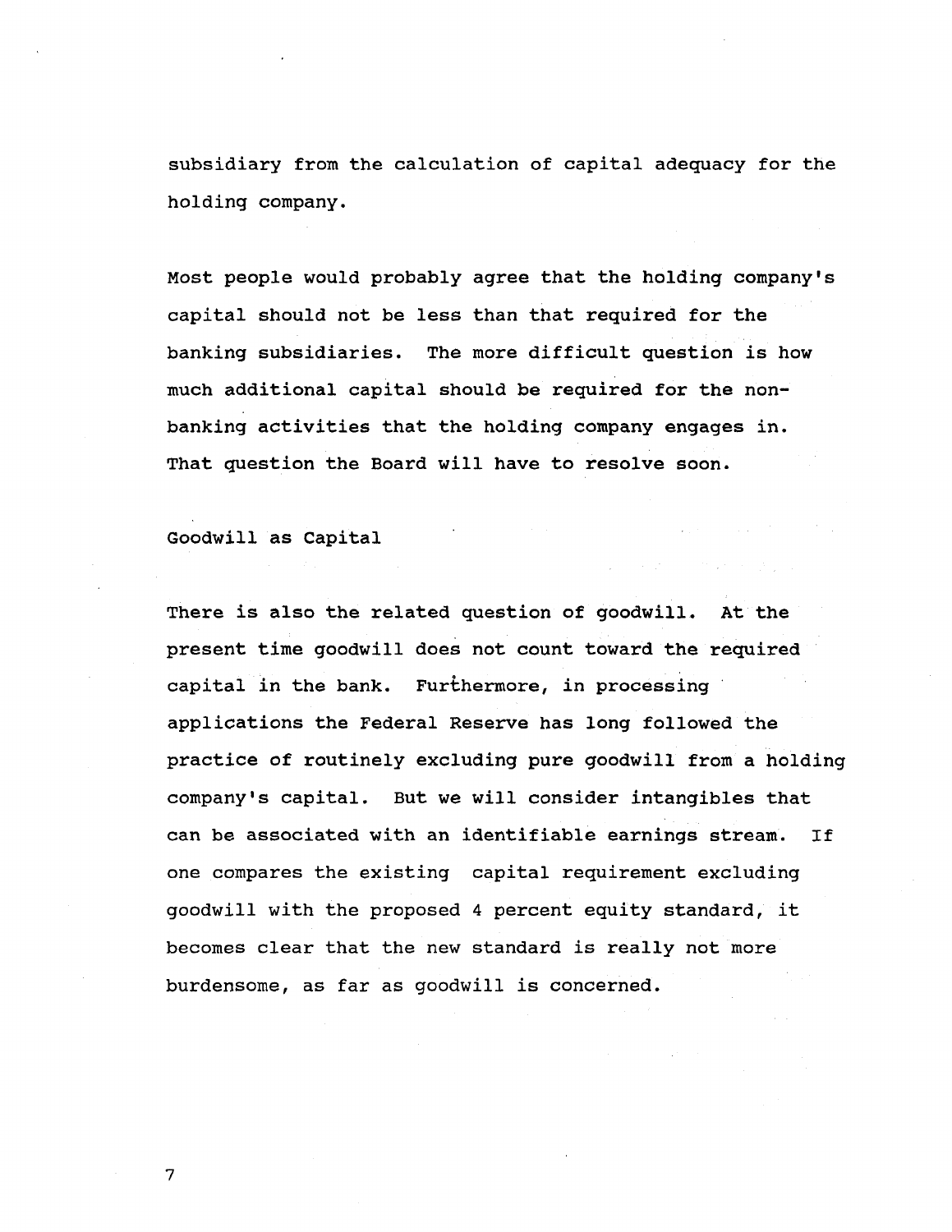**subsidiary from the calculation of capital adequacy for the holding company.**

**Most people would probably agree that the holding company's capital should not be less than that required for the banking subsidiaries. The more difficult question is how much additional capital should be required for the nonbanking activities that the holding company engages in. That question the Board will have to resolve soon.**

**Goodwill as Capital**

**There is also the related question of goodwill. At the present time goodwill does not count toward the required capital in the bank. Furthermore, in processing applications the Federal Reserve has long followed the practice of routinely excluding pure goodwill from a holding company's capital. But we will consider intangibles that can be associated with an identifiable earnings stream. If one compares the existing capital requirement excluding goodwill with the proposed 4 percent equity standard, it becomes clear that the new standard is really not more burdensome, as far as goodwill is concerned.**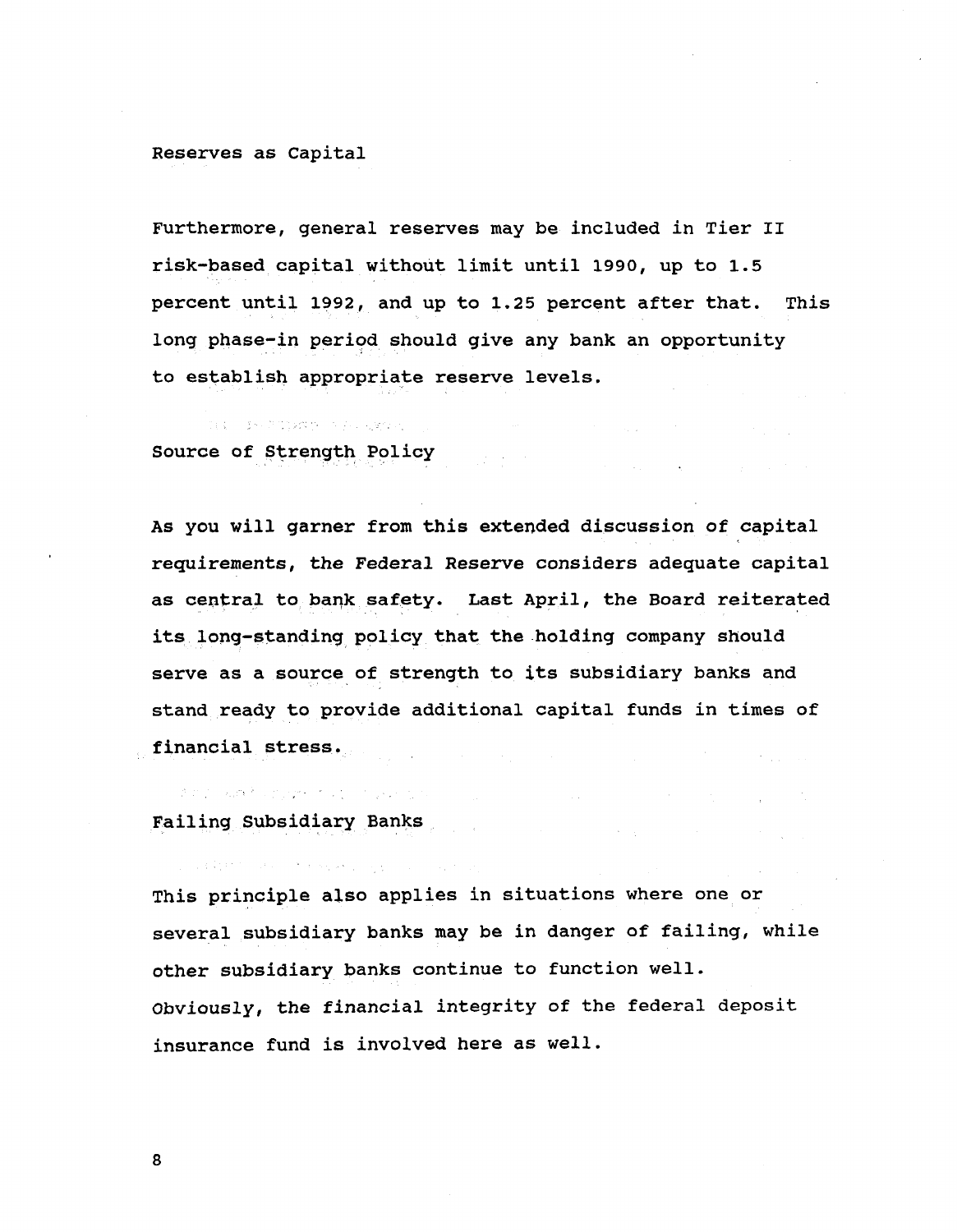#### **Reserves as Capital**

**Furthermore, general reserves may be included in Tier II risk-based capital without limit until 1990, up to 1.5 percent until 1992, and up to 1.25 percent after that. This long phase-in period should give any bank an opportunity to establish appropriate reserve levels.**

**Source of Strength Policy**

**As you will garner from this extended discussion of capital requirements, the Federal Reserve considers adequate capital as central to bank safety. Last April, the Board reiterated its long-standing policy that the holding company should serve as a source of strength to its subsidiary banks and stand ready to provide additional capital funds in times of financial stress.** 

die in wat separate to provide a co-**Failing Subsidiary Banks**

the state of the seated and the state of the

**This principle also applies in situations where one or several subsidiary banks may be in danger of failing, while other subsidiary banks continue to function well. Obviously, the financial integrity of the federal deposit insurance fund is involved here as well.**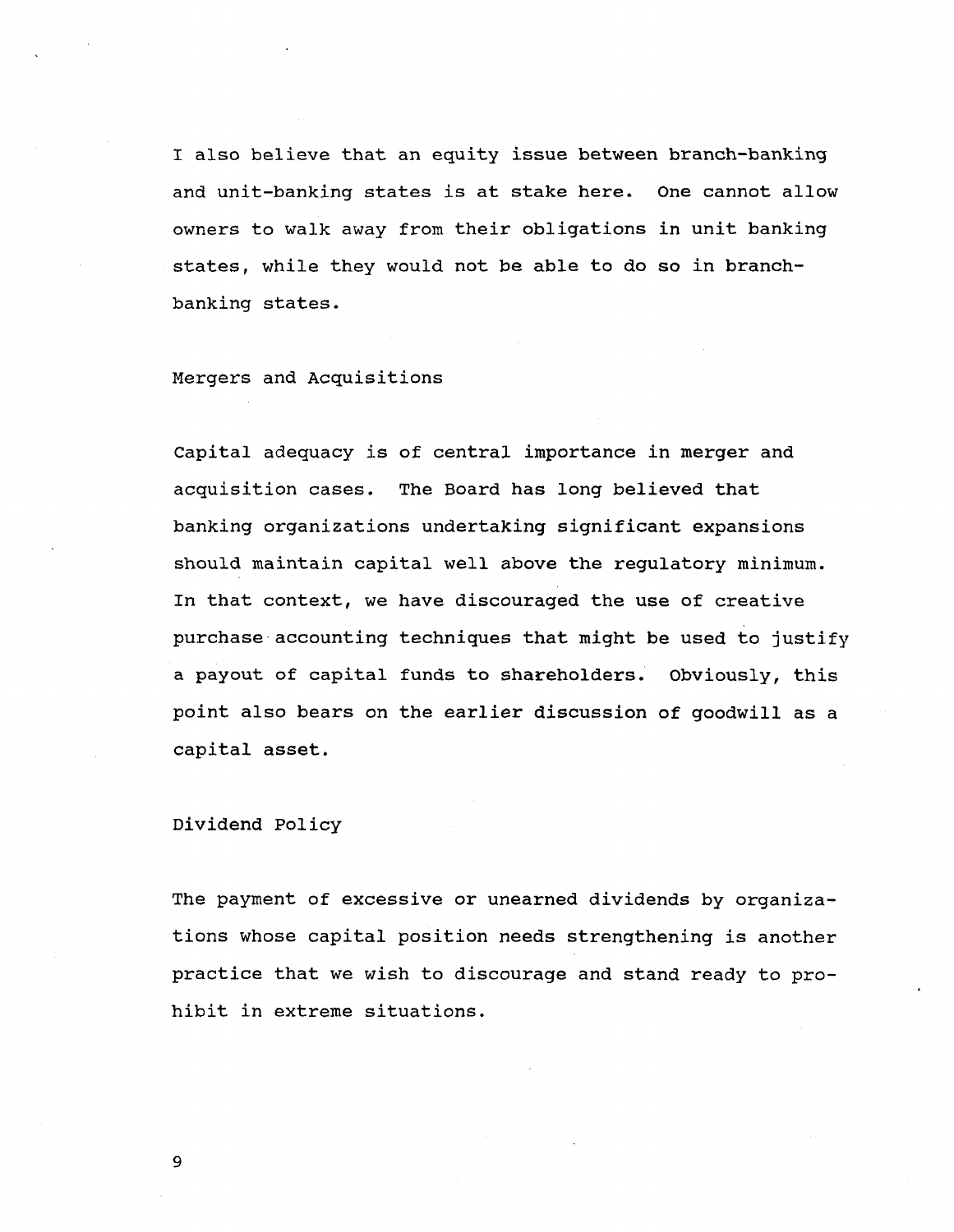**I also believe that an equity issue between branch-banking and unit-banking states is at stake here. One cannot allow owners to walk away from their obligations in unit banking states, while they would not be able to do so in branchbanking states.**

**Mergers and Acquisitions**

**Capital adequacy is of central importance in merger and acquisition cases. The Board has long believed that banking organizations undertaking significant expansions should maintain capital well above the regulatory minimum. In that context, we have discouraged the use of creative purchase accounting techniques that might be used to justify a payout of capital funds to shareholders. Obviously, this point also bears on the earlier discussion of goodwill as a capital asset.**

**Dividend Policy**

**The payment of excessive or unearned dividends by organizations whose capital position needs strengthening is another practice that we wish to discourage and stand ready to prohibit in extreme situations.**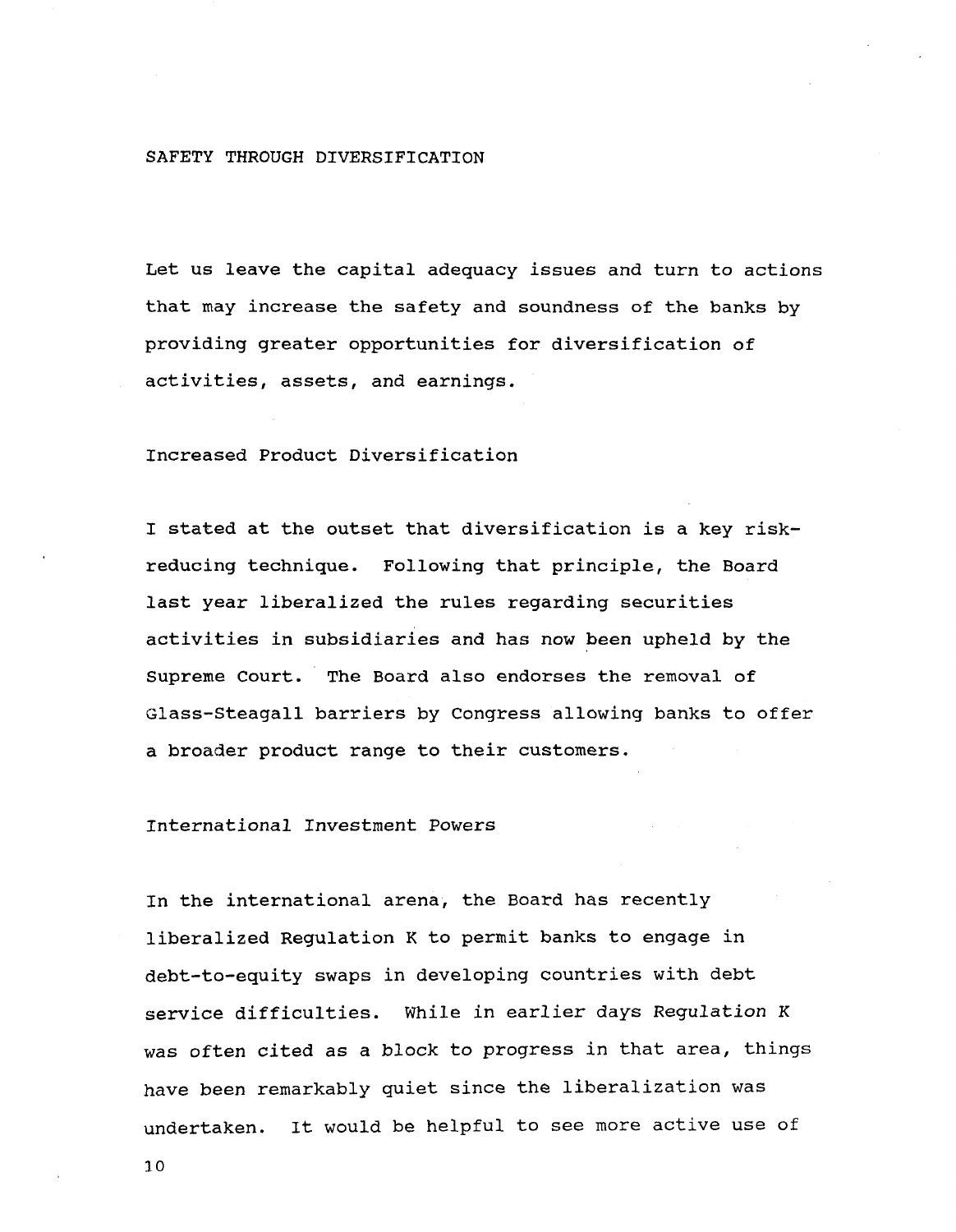#### **SAFETY THROUGH DIVERSIFICATION**

**Let us leave the capital adequacy issues and turn to actions that may increase the safety and soundness of the banks by providing greater opportunities for diversification of activities, assets, and earnings.**

### **Increased Product Diversification**

**I stated at the outset that diversification is a key riskreducing technique. Following that principle, the Board last year liberalized the rules regarding securities activities in subsidiaries and has now been upheld by the Supreme Court. The Board also endorses the removal of Glass-Steagall barriers by Congress allowing banks to offer a broader product range to their customers.**

### **International Investment Powers**

**In the international arena, the Board has recently liberalized Regulation K to permit banks to engage in debt-to-equity swaps in developing countries with debt service difficulties. While in earlier days Regulation K was often cited as a block to progress in that area, things have been remarkably quiet since the liberalization was undertaken. It would be helpful to see more active use of**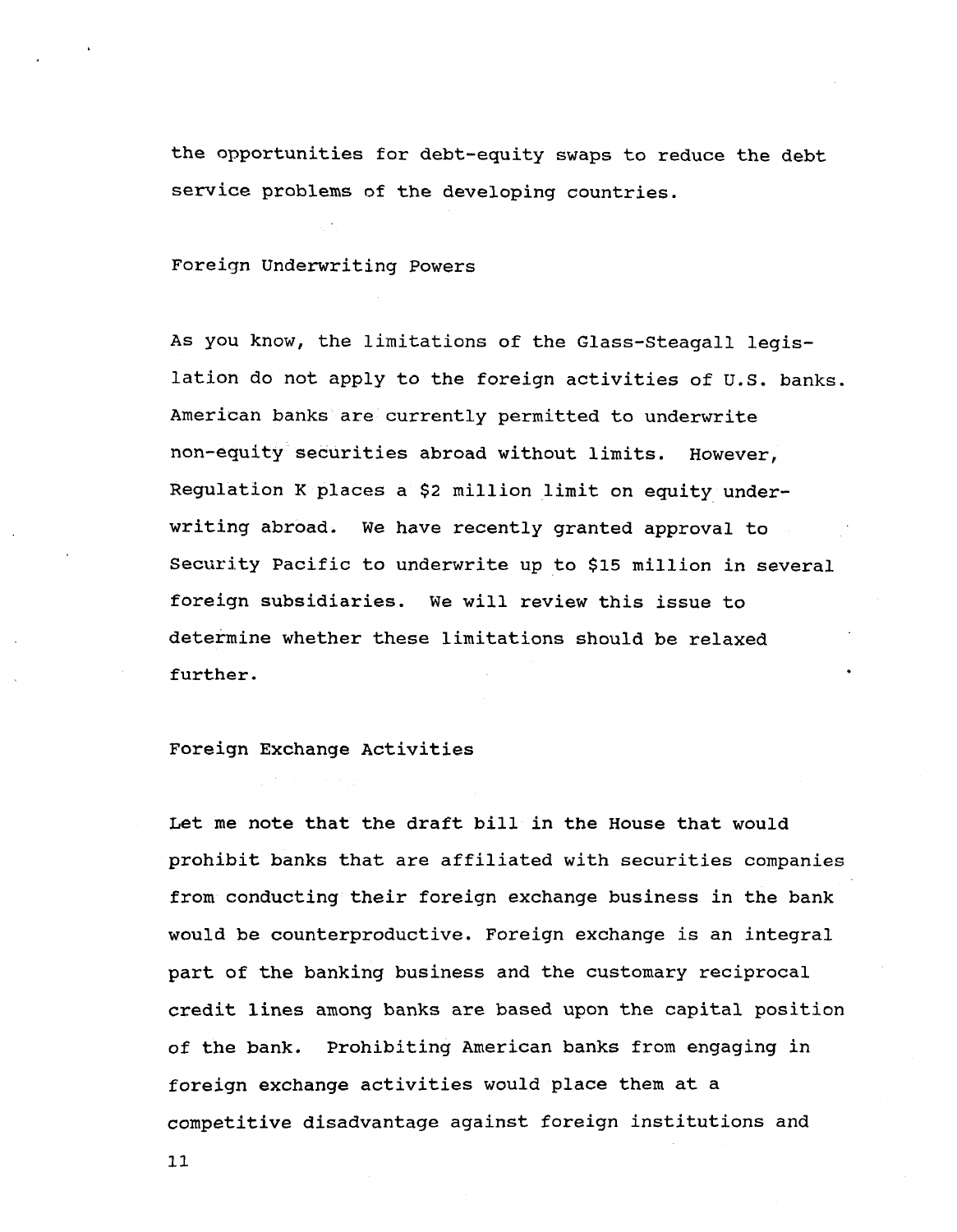**the opportunities for debt-equity swaps to reduce the debt service problems of the developing countries.**

**Foreign Underwriting Powers**

**As you know, the limitations of the Glass-Steagall legislation do not apply to the foreign activities of U.S. banks. American banks are currently permitted to underwrite non-equity securities abroad without limits. However, Regulation K places a \$2 million limit on equity underwriting abroad. We have recently granted approval to Security Pacific to underwrite up to \$15 million in several foreign subsidiaries. We will review this issue to determine whether these limitations should be relaxed further.**

## **Foreign Exchange Activities**

**Let me note that the draft bill in the House that would prohibit banks that are affiliated with securities companies from conducting their foreign exchange business in the bank would be counterproductive. Foreign exchange is an integral part of the banking business and the customary reciprocal credit lines among banks are based upon the capital position of the bank. Prohibiting American banks from engaging in foreign exchange activities would place them at a competitive disadvantage against foreign institutions and**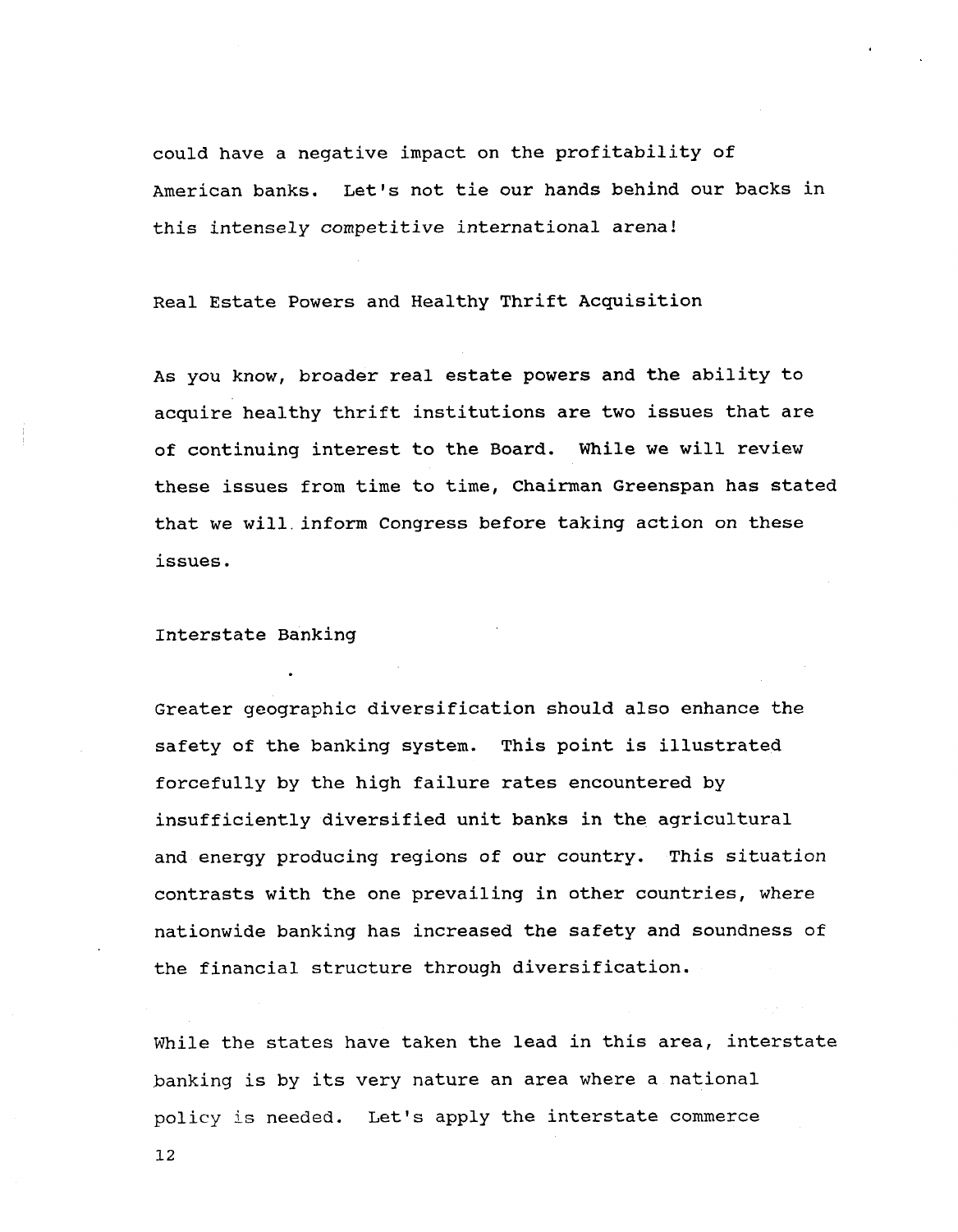**could have a negative impact on the profitability of American banks. Let's not tie our hands behind our backs in this intensely competitive international arena!**

**Real Estate Powers and Healthy Thrift Acquisition**

**As you know, broader real estate powers and the ability to acquire healthy thrift institutions are two issues that are of continuing interest to the Board. While we will review these issues from time to time, Chairman Greenspan has stated that we will, inform Congress before taking action on these issues.**

**Interstate Banking**

**Greater geographic diversification should also enhance the safety of the banking system. This point is illustrated forcefully by the high failure rates encountered by insufficiently diversified unit banks in the agricultural and energy producing regions of our country. This situation contrasts with the one prevailing in other countries, where nationwide banking has increased the safety and soundness of the financial structure through diversification.**

**While the states have taken the lead in this area, interstate banking is by its very nature an area where a national policy** is **needed. Let's apply the interstate commerce**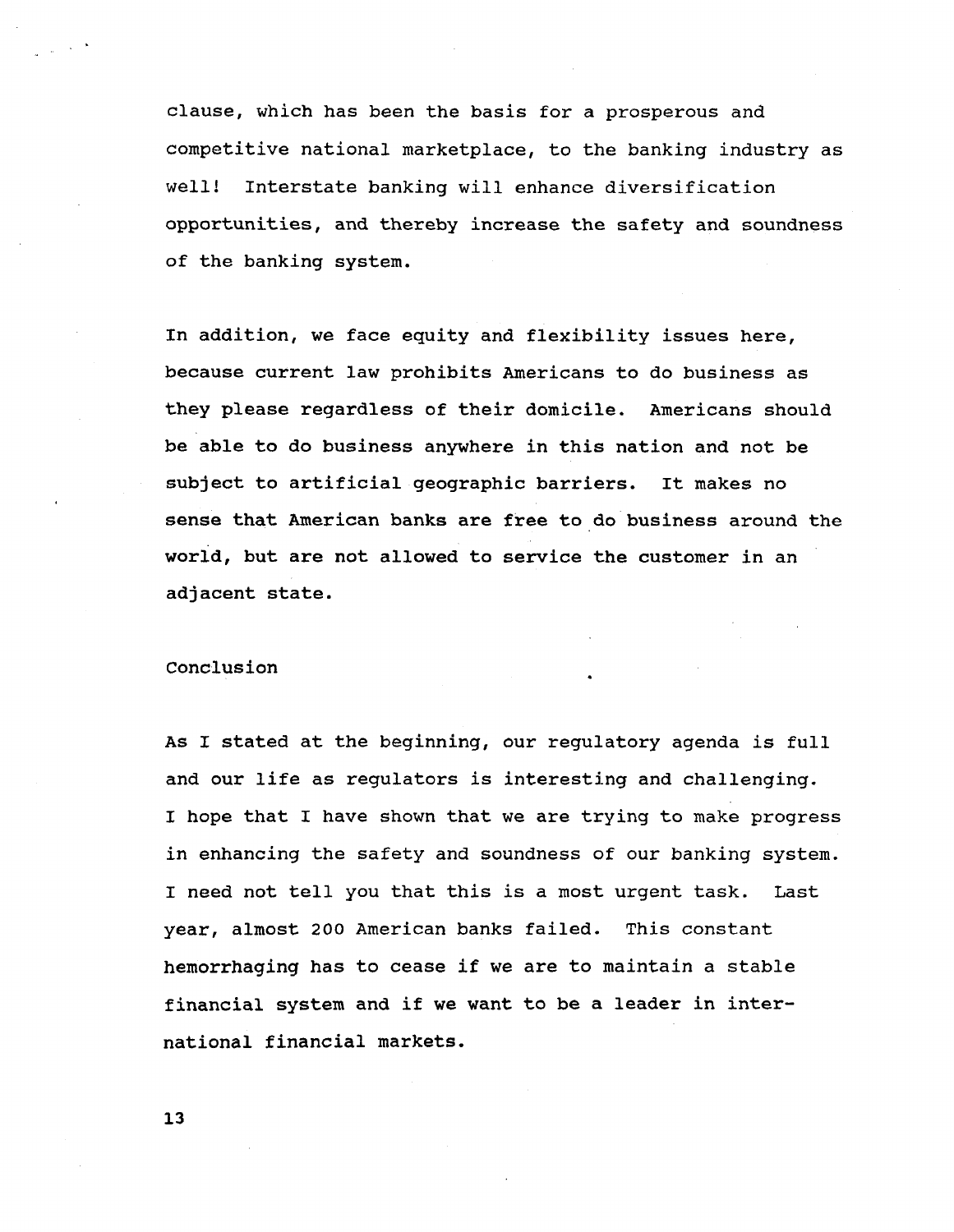**clause, which has been the basis for a prosperous and competitive national marketplace, to the banking industry as well! Interstate banking will enhance diversification opportunities, and thereby increase the safety and soundness of the banking system.**

**In addition, we face equity and flexibility issues here, because current law prohibits Americans to do business as they please regardless of their domicile. Americans should be able to do business anywhere in this nation and not be subject to artificial geographic barriers. It makes no sense that American banks are free to do business around the world, but are not allowed to service the customer in an adjacent state.**

### **Conclusion**

**As I stated at the beginning, our regulatory agenda is full and our life as regulators is interesting and challenging. I hope that I have shown that we are trying to make progress in enhancing the safety and soundness of our banking system. I need not tell you that this is a most urgent task. Last year, almost 200 American banks failed. This constant hemorrhaging has to cease if we are to maintain a stable financial system and if we want to be a leader in international financial markets.**